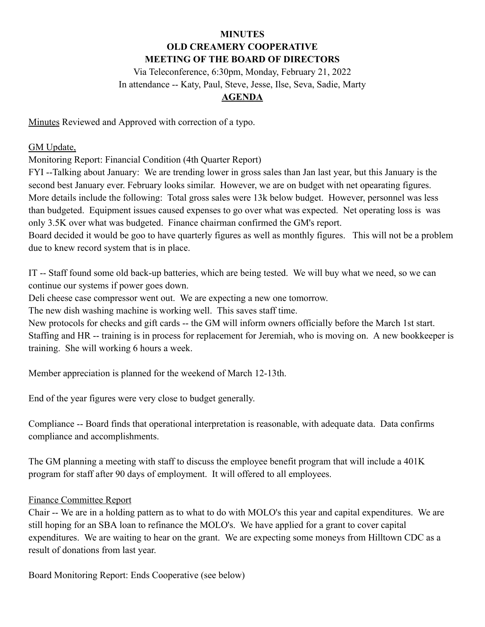#### **MINUTES OLD CREAMERY COOPERATIVE MEETING OF THE BOARD OF DIRECTORS**

Via Teleconference, 6:30pm, Monday, February 21, 2022 In attendance -- Katy, Paul, Steve, Jesse, Ilse, Seva, Sadie, Marty

## **AGENDA**

Minutes Reviewed and Approved with correction of a typo.

## GM Update,

Monitoring Report: Financial Condition (4th Quarter Report)

FYI --Talking about January: We are trending lower in gross sales than Jan last year, but this January is the second best January ever. February looks similar. However, we are on budget with net opearating figures. More details include the following: Total gross sales were 13k below budget. However, personnel was less than budgeted. Equipment issues caused expenses to go over what was expected. Net operating loss is was only 3.5K over what was budgeted. Finance chairman confirmed the GM's report.

Board decided it would be goo to have quarterly figures as well as monthly figures. This will not be a problem due to knew record system that is in place.

IT -- Staff found some old back-up batteries, which are being tested. We will buy what we need, so we can continue our systems if power goes down.

Deli cheese case compressor went out. We are expecting a new one tomorrow.

The new dish washing machine is working well. This saves staff time.

New protocols for checks and gift cards -- the GM will inform owners officially before the March 1st start. Staffing and HR -- training is in process for replacement for Jeremiah, who is moving on. A new bookkeeper is training. She will working 6 hours a week.

Member appreciation is planned for the weekend of March 12-13th.

End of the year figures were very close to budget generally.

Compliance -- Board finds that operational interpretation is reasonable, with adequate data. Data confirms compliance and accomplishments.

The GM planning a meeting with staff to discuss the employee benefit program that will include a 401K program for staff after 90 days of employment. It will offered to all employees.

#### Finance Committee Report

Chair -- We are in a holding pattern as to what to do with MOLO's this year and capital expenditures. We are still hoping for an SBA loan to refinance the MOLO's. We have applied for a grant to cover capital expenditures. We are waiting to hear on the grant. We are expecting some moneys from Hilltown CDC as a result of donations from last year.

Board Monitoring Report: Ends Cooperative (see below)